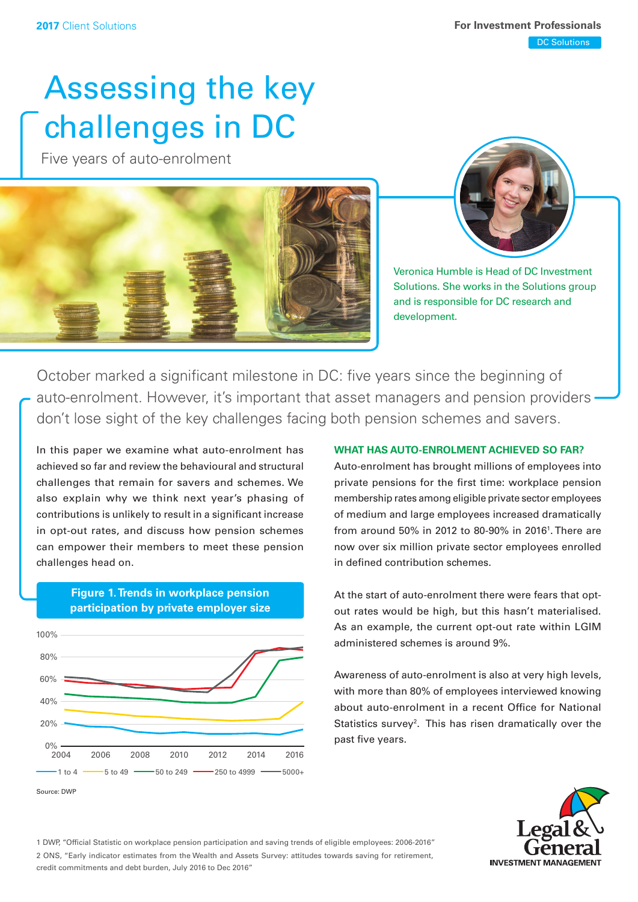# Assessing the key challenges in DC

Five years of auto-enrolment





Veronica Humble is Head of DC Investment Solutions. She works in the Solutions group and is responsible for DC research and development.

October marked a significant milestone in DC: five years since the beginning of auto-enrolment. However, it's important that asset managers and pension providers don't lose sight of the key challenges facing both pension schemes and savers.

In this paper we examine what auto-enrolment has achieved so far and review the behavioural and structural challenges that remain for savers and schemes. We also explain why we think next year's phasing of contributions is unlikely to result in a signifcant increase in opt-out rates, and discuss how pension schemes can empower their members to meet these pension challenges head on.



## **Figure 1.Trends in workplace pension participation by private employer size**

## **WHAT HAS AUTO-ENROLMENT ACHIEVED SO FAR?**

Auto-enrolment has brought millions of employees into private pensions for the first time: workplace pension membership rates among eligible private sector employees of medium and large employees increased dramatically from around 50% in 2012 to 80-90% in 2016<sup>1</sup>. There are now over six million private sector employees enrolled in defined contribution schemes.

At the start of auto-enrolment there were fears that optout rates would be high, but this hasn't materialised. As an example, the current opt-out rate within LGIM administered schemes is around 9%.

Awareness of auto-enrolment is also at very high levels, with more than 80% of employees interviewed knowing about auto-enrolment in a recent Office for National Statistics survey<sup>2</sup>. This has risen dramatically over the past five years.



1 DWP, "Offcial Statistic on workplace pension participation and saving trends of eligible employees: 2006-2016" 2 ONS, "Early indicator estimates from the Wealth and Assets Survey: attitudes towards saving for retirement, credit commitments and debt burden, July 2016 to Dec 2016"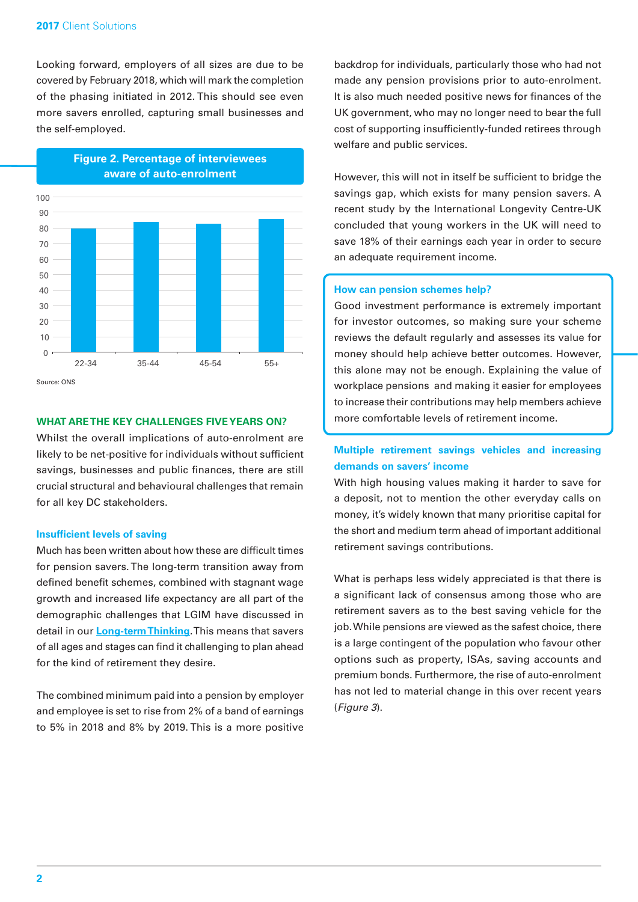Looking forward, employers of all sizes are due to be covered by February 2018, which will mark the completion of the phasing initiated in 2012. This should see even more savers enrolled, capturing small businesses and the self-employed.

**Figure 2. Percentage of interviewees** 



**WHAT ARE THE KEY CHALLENGES FIVE YEARS ON?** 

Whilst the overall implications of auto-enrolment are likely to be net-positive for individuals without sufficient savings, businesses and public finances, there are still crucial structural and behavioural challenges that remain for all key DC stakeholders.

#### **Insufficient levels of saving**

Much has been written about how these are difficult times for pension savers. The long-term transition away from defined benefit schemes, combined with stagnant wage growth and increased life expectancy are all part of the demographic challenges that LGIM have discussed in detail in our **[Long-term Thinking](http://www.lgim.com/uk/en/knowledge/thought-leadership/long-term-thinking/)**. This means that savers of all ages and stages can fnd it challenging to plan ahead for the kind of retirement they desire.

The combined minimum paid into a pension by employer and employee is set to rise from 2% of a band of earnings to 5% in 2018 and 8% by 2019. This is a more positive

 UK government, who may no longer need to bear the full backdrop for individuals, particularly those who had not made any pension provisions prior to auto-enrolment. It is also much needed positive news for finances of the cost of supporting insufficiently-funded retirees through welfare and public services.

 savings gap, which exists for many pension savers. A However, this will not in itself be sufficient to bridge the recent study by the International Longevity Centre-UK concluded that young workers in the UK will need to save 18% of their earnings each year in order to secure an adequate requirement income.

#### **How can pension schemes help?**

Good investment performance is extremely important for investor outcomes, so making sure your scheme reviews the default regularly and assesses its value for money should help achieve better outcomes. However, this alone may not be enough. Explaining the value of workplace pensions and making it easier for employees to increase their contributions may help members achieve more comfortable levels of retirement income.

## **Multiple retirement savings vehicles and increasing demands on savers' income**

With high housing values making it harder to save for a deposit, not to mention the other everyday calls on money, it's widely known that many prioritise capital for the short and medium term ahead of important additional retirement savings contributions.

 job. While pensions are viewed as the safest choice, there What is perhaps less widely appreciated is that there is a signifcant lack of consensus among those who are retirement savers as to the best saving vehicle for the is a large contingent of the population who favour other options such as property, ISAs, saving accounts and premium bonds. Furthermore, the rise of auto-enrolment has not led to material change in this over recent years (*Figure 3*).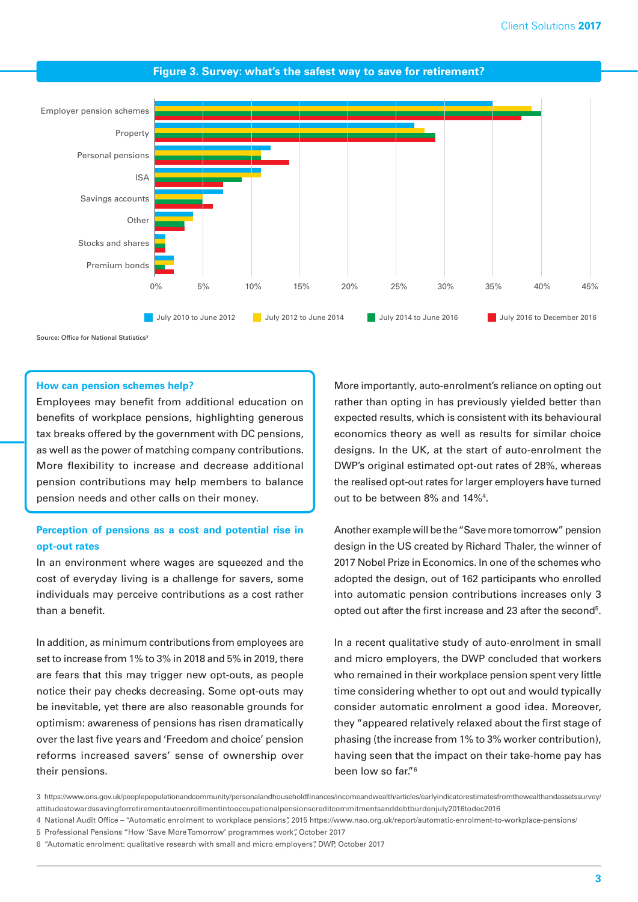

#### **Figure 3. Survey: what's the safest way to save for retirement?**

Source: Office for National Statistics3

#### **How can pension schemes help?**

Employees may beneft from additional education on benefits of workplace pensions, highlighting generous tax breaks offered by the government with DC pensions, as well as the power of matching company contributions. More flexibility to increase and decrease additional pension contributions may help members to balance pension needs and other calls on their money.

## **Perception of pensions as a cost and potential rise in opt-out rates**

In an environment where wages are squeezed and the cost of everyday living is a challenge for savers, some individuals may perceive contributions as a cost rather than a benefit.

 set to increase from 1% to 3% in 2018 and 5% in 2019, there In addition, as minimum contributions from employees are are fears that this may trigger new opt-outs, as people notice their pay checks decreasing. Some opt-outs may be inevitable, yet there are also reasonable grounds for optimism: awareness of pensions has risen dramatically over the last five years and 'Freedom and choice' pension reforms increased savers' sense of ownership over their pensions.

More importantly, auto-enrolment's reliance on opting out rather than opting in has previously yielded better than expected results, which is consistent with its behavioural economics theory as well as results for similar choice designs. In the UK, at the start of auto-enrolment the DWP's original estimated opt-out rates of 28%, whereas the realised opt-out rates for larger employers have turned out to be between 8% and 14%4 .

Another example will be the "Save more tomorrow" pension design in the US created by Richard Thaler, the winner of 2017 Nobel Prize in Economics. In one of the schemes who adopted the design, out of 162 participants who enrolled into automatic pension contributions increases only 3 opted out after the first increase and 23 after the second<sup>5</sup>.

 been low so far."6 In a recent qualitative study of auto-enrolment in small and micro employers, the DWP concluded that workers who remained in their workplace pension spent very little time considering whether to opt out and would typically consider automatic enrolment a good idea. Moreover, they "appeared relatively relaxed about the first stage of phasing (the increase from 1% to 3% worker contribution), having seen that the impact on their take-home pay has

<sup>3</sup> https://www.ons.gov.uk/peoplepopulationandcommunity/personalandhouseholdfinances/incomeandwealth/articles/earlyindicatorestimatesfromthewealthandassetssurvey/ attitudestowardssavingforretirementautoenrollmentintooccupationalpensionscreditcommitmentsanddebtburdenjuly2016todec2016

<sup>4</sup> National Audit Offce – "Automatic enrolment to workplace pensions", 2015 [https://www.nao.org.uk/report/automatic-enrolment-to-workplace-pensions/](https://www.nao.org.uk/report/automatic-enrolment-to-workplace-pensions)

<sup>5</sup> Professional Pensions "How 'Save More Tomorrow' programmes work", October 2017

<sup>6 &</sup>quot;Automatic enrolment: qualitative research with small and micro employers", DWP, October 2017